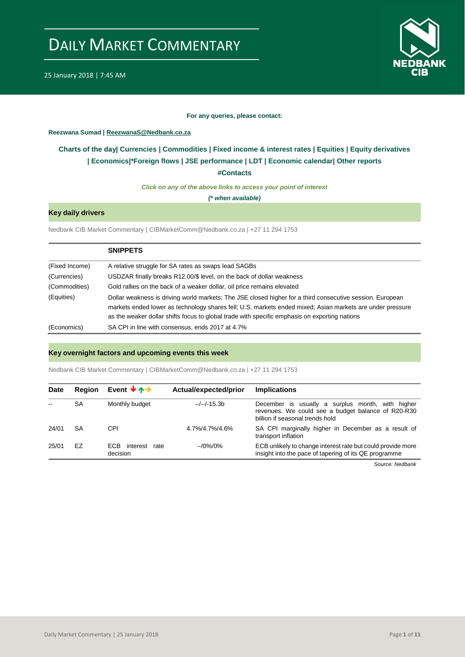

#### **For any queries, please contact:**

<span id="page-0-0"></span>**Reezwana Sumad | ReezwanaS@Nedbank.co.za**

### **Charts of the day| [Currencies](#page-2-0) | [Commodities](#page-3-0) | [Fixed income & interest rates](#page-1-0) | [Equities](#page-4-0) | Equity derivatives | [Economics|](#page-7-0)\*Foreign flows | [JSE performance](#page-4-1) [| LDT](#page-5-0) [| Economic calendar|](#page-8-0) Other reports**

**[#Contacts](#page-9-0)**

*Click on any of the above links to access your point of interest*

*(\* when available)*

### **Key daily drivers**

Nedbank CIB Market Commentary | CIBMarketComm@Nedbank.co.za | +27 11 294 1753

|                | <b>SNIPPETS</b>                                                                                                                                                                                                                                                                                                         |
|----------------|-------------------------------------------------------------------------------------------------------------------------------------------------------------------------------------------------------------------------------------------------------------------------------------------------------------------------|
| (Fixed Income) | A relative struggle for SA rates as swaps lead SAGBs                                                                                                                                                                                                                                                                    |
| (Currencies)   | USDZAR finally breaks R12.00/\$ level, on the back of dollar weakness                                                                                                                                                                                                                                                   |
| (Commodities)  | Gold rallies on the back of a weaker dollar, oil price remains elevated                                                                                                                                                                                                                                                 |
| (Equities)     | Dollar weakness is driving world markets; The JSE closed higher for a third consecutive session. European<br>markets ended lower as technology shares fell; U.S. markets ended mixed; Asian markets are under pressure<br>as the weaker dollar shifts focus to global trade with specific emphasis on exporting nations |
| (Economics)    | SA CPI in line with consensus, ends 2017 at 4.7%                                                                                                                                                                                                                                                                        |

#### **Key overnight factors and upcoming events this week**

Nedbank CIB Market Commentary | CIBMarketComm@Nedbank.co.za | +27 11 294 1753

| <b>Date</b> | Region | Event $\forall \uparrow \rightarrow$ | Actual/expected/prior | <b>Implications</b>                                                                                                                       |
|-------------|--------|--------------------------------------|-----------------------|-------------------------------------------------------------------------------------------------------------------------------------------|
|             | SA     | Monthly budget                       | --/--/-15.3b          | December is usually a surplus month, with higher<br>revenues. We could see a budget balance of R20-R30<br>billion if seasonal trends hold |
| 24/01       | SA     | <b>CPI</b>                           | 4.7%/4.7%/4.6%        | SA CPI marginally higher in December as a result of<br>transport inflation                                                                |
| 25/01       | EZ     | FCB.<br>interest<br>rate<br>decision | $-10\%/0\%$           | ECB unlikely to change interest rate but could provide more<br>insight into the pace of tapering of its QE programme                      |

*Source: Nedbank*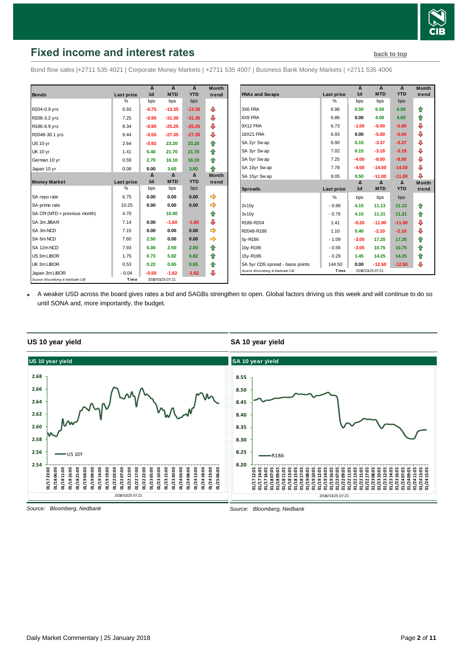

## <span id="page-1-0"></span>**Fixed income and interest rates [back to top](#page-0-0) back to top**

Bond flow sales |+2711 535 4021 | Corporate Money Markets | +2711 535 4007 | Business Bank Money Markets | +2711 535 4006

|                                 |                   | Δ              | Δ                | Δ          | <b>Month</b> |
|---------------------------------|-------------------|----------------|------------------|------------|--------------|
| <b>Bonds</b>                    | <b>Last price</b> | 1 <sub>d</sub> | <b>MTD</b>       | <b>YTD</b> | trend        |
|                                 | $\%$              | bps            | bps              | bps        |              |
| R204-0.9 yrs                    | 6.93              | $-0.75$        | $-13.35$         | $-13.35$   | ⊕            |
| R208-3.2 yrs                    | 7.25              | $-0.95$        | $-31.35$         | $-31.35$   | ⊕            |
| R186-8.9 yrs                    | 8.34              | $-0.95$        | $-25.25$         | $-25.25$   | ⊕            |
| R2048-30.1 yrs                  | 9.44              | $-0.55$        | $-27.35$         | $-27.35$   | ⊕            |
| <b>US 10 yr</b>                 | 2.64              | $-0.92$        | 23.20            | 23.20      | ⇑            |
| <b>UK 10 yr</b>                 | 1.41              | 5.40           | 21.70            | 21.70      | ⇑            |
| German 10 yr                    | 0.59              | 2.70           | 16.10            | 16.10      | 合            |
| Japan 10 yr                     | 0.08              | 0.00           | 3.60             | 3.60       | ♠            |
|                                 |                   | Δ              | Δ                | Δ          | <b>Month</b> |
| <b>Money Market</b>             | <b>Last price</b> | 1 <sub>d</sub> | <b>MTD</b>       | <b>YTD</b> | trend        |
|                                 | %                 | bps            | bps              | bps        |              |
| SA repo rate                    | 6.75              | 0.00           | 0.00             | 0.00       | ⇛            |
| SA prime rate                   | 10.25             | 0.00           | 0.00             | 0.00       | ⇛            |
| SA CPI (MTD = previous month)   | 4.70              |                | 10.00            |            | ⇑            |
| SA 3m JIBAR                     | 7.14              | 0.00           | $-1.60$          | $-1.60$    | ⊕            |
| SA 3m NCD                       | 7.15              | 0.00           | 0.00             | 0.00       | ⇛            |
| SA 6m NCD                       | 7.60              | 2.50           | 0.00             | 0.00       | ⇛            |
| SA 12m NCD                      | 7.93              | 5.00           | 2.50             | 2.50       | ⇑            |
| US 3m LIBOR                     | 1.75              | 0.73           | 5.82             | 5.82       | ⇑            |
| UK 3m LIBOR                     | 0.53              | 0.22           | 0.65             | 0.65       | ⇑            |
| Japan 3m LIBOR                  | $-0.04$           | $-0.50$        | $-1.62$          | $-1.62$    | ⊕            |
| Source: Bloomberg & Nedbank CIB | Time              |                | 2018/01/25 07:21 |            |              |

|                                  |            | Δ              | Δ          | Δ          | <b>Month</b> |
|----------------------------------|------------|----------------|------------|------------|--------------|
| <b>FRAs and Swaps</b>            | Last price | 1 <sub>d</sub> | <b>MTD</b> | <b>YTD</b> | trend        |
|                                  | %          | bps            | bps        | bps        |              |
| 3X6 FRA                          | 6.96       | 0.50           | 6.50       | 6.50       | ⇑            |
| 6X9 FRA                          | 6.86       | 0.00           | 4.00       | 4.00       | ⇑            |
| 9X12 FRA                         | 6.73       | $-1.00$        | $-6.00$    | $-6.00$    | ⇩            |
| <b>18X21 FRA</b>                 | 6.93       | 0.00           | $-5.00$    | $-5.00$    | ⊕            |
| SA 2yr Swap                      | 6.90       | 0.15           | $-3.37$    | $-3.37$    | ⊕            |
| SA 3yr Swap                      | 7.02       | 0.15           | $-3.19$    | $-3.19$    | ₽            |
| SA 5yr Sw ap                     | 7.25       | $-4.00$        | $-8.00$    | $-8.00$    | ⊕            |
| SA 10yr Swap                     | 7.78       | $-4.00$        | $-14.50$   | $-14.50$   | ⊕            |
| SA 15yr Swap                     | 8.05       | 0.50           | $-11.00$   | $-11.00$   | ⊕            |
|                                  |            | Δ              | Δ          | Δ          | <b>Month</b> |
| <b>Spreads</b>                   | Last price | 1 <sub>d</sub> | <b>MTD</b> | <b>YTD</b> | trend        |
|                                  | %          | bps            | bps        | bps        |              |
| 2v10v                            | $-0.88$    | 4.15           | 11.13      | 11.13      | ⇑            |
| 3v10v                            | $-0.76$    | 4.15           | 11.31      | 11.31      | ⇑            |
| R186-R204                        | 1.41       | $-0.20$        | $-11.90$   | $-11.90$   | ⊕            |
| R2048-R186                       | 1.10       | 0.40           | $-2.10$    | $-2.10$    | ⊕            |
| 5y-R186                          | $-1.09$    | $-3.05$        | 17.25      | 17.25      | ⇑            |
|                                  |            |                | 10.75      | 10.75      | ⇑            |
| 10y-R186                         | $-0.56$    | $-3.05$        |            |            |              |
| 15y-R186                         | $-0.29$    | 1.45           | 14.25      | 14.25      | ⇑            |
| SA 5yr CDS spread - basis points | 144.50     | 0.00           | $-12.50$   | $-12.50$   | ⊕            |

 A weaker USD across the board gives rates a bid and SAGBs strengthen to open. Global factors driving us this week and will continue to do so until SONA and, more importantly, the budget.





*Source: Bloomberg, Nedbank*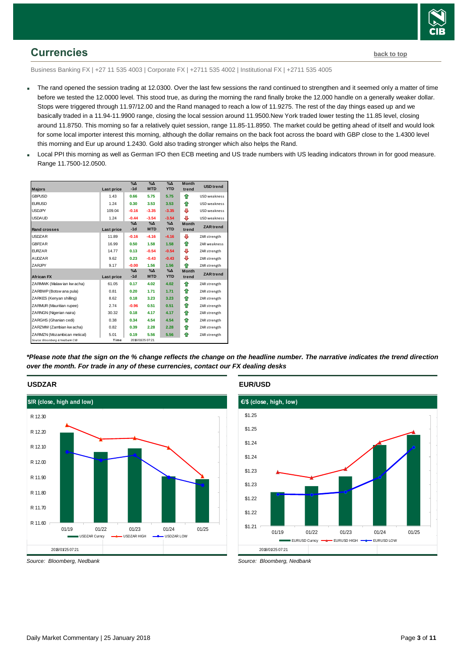

## <span id="page-2-0"></span>**Currencies [back to top](#page-0-0)**

Business Banking FX | +27 11 535 4003 | Corporate FX | +2711 535 4002 | Institutional FX | +2711 535 4005

- The rand opened the session trading at 12.0300. Over the last few sessions the rand continued to strengthen and it seemed only a matter of time before we tested the 12.0000 level. This stood true, as during the morning the rand finally broke the 12.000 handle on a generally weaker dollar. Stops were triggered through 11.97/12.00 and the Rand managed to reach a low of 11.9275. The rest of the day things eased up and we basically traded in a 11.94-11.9900 range, closing the local session around 11.9500.New York traded lower testing the 11.85 level, closing around 11.8750. This morning so far a relatively quiet session, range 11.85-11.8950. The market could be getting ahead of itself and would look for some local importer interest this morning, although the dollar remains on the back foot across the board with GBP close to the 1.4300 level this morning and Eur up around 1.2430. Gold also trading stronger which also helps the Rand.
- Local PPI this morning as well as German IFO then ECB meeting and US trade numbers with US leading indicators thrown in for good measure. Range 11.7500-12.0500.

| <b>Majors</b>                                                  | Last price   | $\%$ $\Delta$<br>$-1d$ | $\Delta$<br><b>MTD</b>      | $\Delta_0$<br><b>YTD</b>    | <b>Month</b><br>trend | <b>USD trend</b>    |
|----------------------------------------------------------------|--------------|------------------------|-----------------------------|-----------------------------|-----------------------|---------------------|
| <b>GBPUSD</b>                                                  | 1.43         | 0.66                   | 5.75                        | 5.75                        | ⇑                     | USD weakness        |
| <b>EURUSD</b>                                                  | 1.24         | 0.30                   | 3.53                        | 3.53                        | ⇑                     | USD weakness        |
| <b>USDJPY</b>                                                  | 109.04       | $-0.16$                | $-3.35$                     | $-3.35$                     | ⊕                     | <b>USD</b> weakness |
| <b>USDAUD</b>                                                  | 1.24         | $-0.44$                | $-3.54$                     | $-3.54$                     | ⊕                     | USD weakness        |
| Rand crosses                                                   | Last price   | $\%$ $\Delta$<br>$-1d$ | $\%$ $\Delta$<br><b>MTD</b> | $\% \Delta$<br><b>YTD</b>   | <b>Month</b><br>trend | <b>ZAR</b> trend    |
| <b>USDZAR</b>                                                  | 11.89        | $-0.16$                | $-4.16$                     | $-4.16$                     | ⊕                     | ZAR strength        |
| <b>GBPZAR</b>                                                  | 16.99        | 0.50                   | 1.58                        | 1.58                        | ♠                     | <b>ZAR</b> weakness |
| <b>EURZAR</b>                                                  | 14.77        | 0.13                   | $-0.54$                     | $-0.54$                     | ⊕                     | ZAR strength        |
| <b>AUDZAR</b>                                                  | 9.62         | 0.23                   | $-0.43$                     | $-0.43$                     | ⊕                     | ZAR strength        |
| ZARJPY                                                         | 9.17         | $-0.00$                | 1.56                        | 1.56                        | ♠                     | ZAR strength        |
| <b>African FX</b>                                              | Last price   | $\%$ $\Delta$<br>$-1d$ | $\%$ $\Delta$<br><b>MTD</b> | $\%$ $\Delta$<br><b>YTD</b> | <b>Month</b><br>trend | <b>ZAR</b> trend    |
| ZARMWK (Malaw ian kw acha)                                     | 61.05        | 0.17                   | 4.02                        | 4.02                        | ⇑                     | ZAR strength        |
| ZARBWP (Botsw ana pula)                                        | 0.81         | 0.20                   | 1.71                        | 1.71                        | ⇑                     | ZAR strength        |
| ZARKES (Kenyan shilling)                                       | 8.62         | 0.18                   | 3.23                        | 3.23                        | ⇑                     | ZAR strength        |
| ZARMUR (Mauritian rupee)                                       | 2.74         | $-0.96$                | 0.51                        | 0.51                        | ⇑                     | ZAR strength        |
| ZARNGN (Nigerian naira)                                        | 30.32        | 0.18                   | 4.17                        | 4.17                        | ⇑                     | ZAR strength        |
| ZARGHS (Ghanian cedi)                                          | 0.38         | 0.34                   | 4.54                        | 4.54                        | ♠                     | ZAR strength        |
| ZARZMW (Zambian kw acha)                                       | 0.82         | 0.39                   | 2.28                        | 2.28                        | ⇑                     | ZAR strength        |
| ZARMZN (Mozambican metical)<br>Source: Bloomberg & Nedbank CIB | 5.01<br>Time | 0.19                   | 5.56<br>2018/01/25 07:21    | 5.56                        | ⇑                     | ZAR strength        |

*\*Please note that the sign on the % change reflects the change on the headline number. The narrative indicates the trend direction over the month. For trade in any of these currencies, contact our FX dealing desks*

#### **USDZAR**



*Source: Bloomberg, Nedbank*

#### **EUR/USD**



*Source: Bloomberg, Nedbank*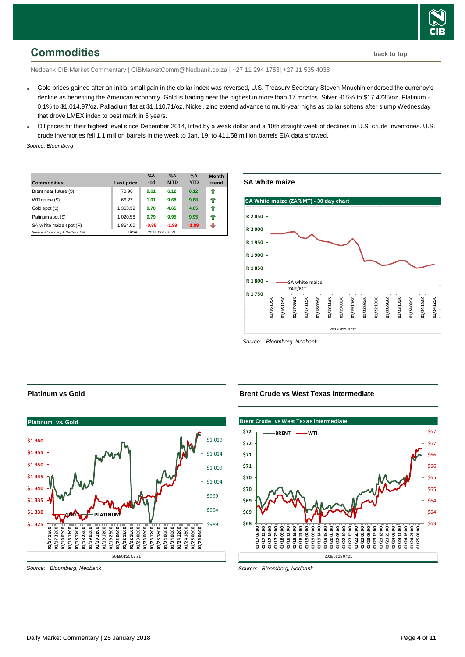

## <span id="page-3-0"></span>**Commodities [back to top](#page-0-0)**

Nedbank CIB Market Commentary | CIBMarketComm@Nedbank.co.za | +27 11 294 1753| +27 11 535 4038

- Gold prices gained after an initial small gain in the dollar index was reversed, U.S. Treasury Secretary Steven Mnuchin endorsed the currency's decline as benefiting the American economy. Gold is trading near the highest in more than 17 months. Silver -0.5% to \$17.4735/oz, Platinum -0.1% to \$1,014.97/oz, Palladium flat at \$1,110.71/oz. Nickel, zinc extend advance to multi-year highs as dollar softens after slump Wednesday that drove LMEX index to best mark in 5 years.
- Oil prices hit their highest level since December 2014, lifted by a weak dollar and a 10th straight week of declines in U.S. crude inventories. U.S. crude inventories fell 1.1 million barrels in the week to Jan. 19, to 411.58 million barrels EIA data showed.

*Source: Bloomberg*

| <b>Commodities</b>              | Last price | $\%$ $\Delta$<br>$-1d$ | $\%$ $\Delta$<br><b>MTD</b> | $\%$ $\Delta$<br><b>YTD</b> | <b>Month</b><br>trend |
|---------------------------------|------------|------------------------|-----------------------------|-----------------------------|-----------------------|
| Brent near future (\$)          | 70.96      | 0.61                   | 6.12                        | 6.12                        | ⇑                     |
| WTI crude (\$)                  | 66.27      | 1.01                   | 9.68                        | 9.68                        | ⇑                     |
| Gold spot (\$)                  | 1 363.39   | 0.70                   | 4.65                        | 4.65                        | ⇑                     |
| Platinum spot (\$)              | 1 020.58   | 0.79                   | 9.95                        | 9.95                        | 11                    |
| SA w hite maize spot (R)        | 1864.00    | $-0.85$                | $-1.89$                     | $-1.89$                     |                       |
| Source: Bloomberg & Nedbank CIB | Time       |                        | 2018/01/25 07:21            |                             |                       |

### **SA white maize**



*Source: Bloomberg, Nedbank*

#### **Brent Crude vs West Texas Intermediate**



*Source: Bloomberg, Nedbank*

#### **Platinum vs Gold**



*Source: Bloomberg, Nedbank*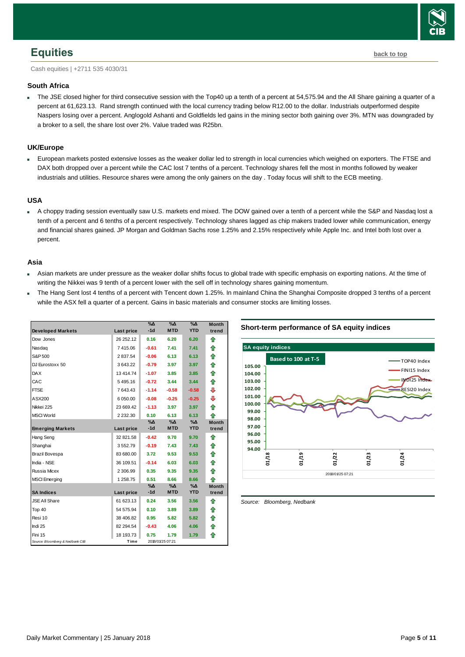

## <span id="page-4-0"></span>**Equities [back to top](#page-0-0)**

Cash equities | +2711 535 4030/31

#### **South Africa**

 The JSE closed higher for third consecutive session with the Top40 up a tenth of a percent at 54,575.94 and the All Share gaining a quarter of a percent at 61,623.13. Rand strength continued with the local currency trading below R12.00 to the dollar. Industrials outperformed despite Naspers losing over a percent. Anglogold Ashanti and Goldfields led gains in the mining sector both gaining over 3%. MTN was downgraded by a broker to a sell, the share lost over 2%. Value traded was R25bn.

#### **UK/Europe**

 European markets posted extensive losses as the weaker dollar led to strength in local currencies which weighed on exporters. The FTSE and DAX both dropped over a percent while the CAC lost 7 tenths of a percent. Technology shares fell the most in months followed by weaker industrials and utilities. Resource shares were among the only gainers on the day . Today focus will shift to the ECB meeting.

#### **USA**

 A choppy trading session eventually saw U.S. markets end mixed. The DOW gained over a tenth of a percent while the S&P and Nasdaq lost a tenth of a percent and 6 tenths of a percent respectively. Technology shares lagged as chip makers traded lower while communication, energy and financial shares gained. JP Morgan and Goldman Sachs rose 1.25% and 2.15% respectively while Apple Inc. and Intel both lost over a percent.

#### **Asia**

- Asian markets are under pressure as the weaker dollar shifts focus to global trade with specific emphasis on exporting nations. At the time of writing the Nikkei was 9 tenth of a percent lower with the sell off in technology shares gaining momentum.
- The Hang Sent lost 4 tenths of a percent with Tencent down 1.25%. In mainland China the Shanghai Composite dropped 3 tenths of a percent while the ASX fell a quarter of a percent. Gains in basic materials and consumer stocks are limiting losses.

| <b>Developed Markets</b>        | Last price    | $\%$ $\Delta$<br>$-1d$ | $\%$ $\Delta$<br><b>MTD</b> | $\%$ $\Delta$<br><b>YTD</b> | <b>Month</b><br>trend |
|---------------------------------|---------------|------------------------|-----------------------------|-----------------------------|-----------------------|
| Dow Jones                       | 26 252.12     | 0.16                   | 6.20                        | 6.20                        | ⇑                     |
| Nasdag                          | 7415.06       | $-0.61$                | 7.41                        | 7.41                        | ♠                     |
| S&P 500                         | 2837.54       | $-0.06$                | 6.13                        | 6.13                        | ⇑                     |
| DJ Eurostoxx 50                 | 3 643.22      | $-0.79$                | 3.97                        | 3.97                        | ⇑                     |
| <b>DAX</b>                      | 13 4 14 74    | $-1.07$                | 3.85                        | 3.85                        | ⇑                     |
| CAC                             | 5495.16       | $-0.72$                | 3.44                        | 3.44                        | ♠                     |
| <b>FTSE</b>                     | 7 643.43      | $-1.14$                | $-0.58$                     | $-0.58$                     | ⇩                     |
| ASX200                          | 6 050.00      | $-0.08$                | $-0.25$                     | $-0.25$                     | ⊕                     |
| Nikkei 225                      | 23 669.42     | $-1.13$                | 3.97                        | 3.97                        | ⇑                     |
| <b>MSCI World</b>               | 2 2 3 2 . 3 0 | 0.10                   | 6.13                        | 6.13                        | ♠                     |
|                                 |               | $\% \Delta$            | $\% \Delta$                 | $\%$ $\Delta$               | <b>Month</b>          |
| <b>Emerging Markets</b>         | Last price    | $-1d$                  | <b>MTD</b>                  | <b>YTD</b>                  | trend                 |
| Hang Seng                       | 32 821.58     | $-0.42$                | 9.70                        | 9.70                        | ⇑                     |
| Shanghai                        | 3552.79       | $-0.19$                | 7.43                        | 7.43                        | ⇑                     |
| Brazil Bovespa                  | 83 680.00     | 3.72                   | 9.53                        | 9.53                        | ⇑                     |
| India - NSE                     | 36 109.51     | $-0.14$                | 6.03                        | 6.03                        | ♠                     |
| Russia Micex                    | 2 306.99      | 0.35                   | 9.35                        | 9.35                        | ♠                     |
| <b>MSCI Emerging</b>            | 1 258.75      | 0.51                   | 8.66                        | 8.66                        | ♠                     |
|                                 |               | $\% \Delta$            | $\% \Delta$                 | $\%$ $\Delta$               | <b>Month</b>          |
| <b>SA Indices</b>               | Last price    | $-1d$                  | <b>MTD</b>                  | <b>YTD</b>                  | trend                 |
| <b>JSE All Share</b>            | 61 623.13     | 0.24                   | 3.56                        | 3.56                        | ⇑                     |
| Top 40                          | 54 575.94     | 0.10                   | 3.89                        | 3.89                        | ⇑                     |
| Resi 10                         | 38 406.82     | 0.95                   | 5.82                        | 5.82                        | ⇑                     |
| Indi 25                         | 82 294.54     | $-0.43$                | 4.06                        | 4.06                        | ⇑                     |
| Fini 15                         | 18 193.73     | 0.75                   | 1.79                        | 1.79                        | ♠                     |
| Source: Bloomberg & Nedbank CIB | Time          |                        | 2018/01/25 07:21            |                             |                       |

#### **Short-term performance of SA equity indices**



<span id="page-4-1"></span>*Source: Bloomberg, Nedbank*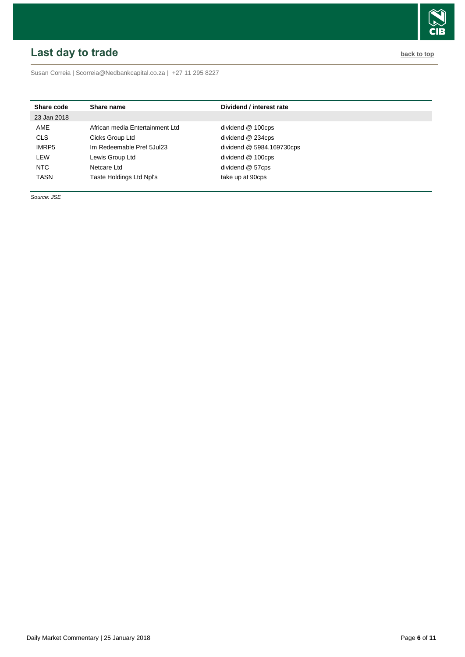# <span id="page-5-0"></span>**Last day to trade back to the contract of the contract of the contract of the contract of the contract of the contract of the contract of the contract of the contract of the contract of the contract of the contract of t**



Susan Correia | [Scorreia@Nedbankcapital.co.za](mailto:Scorreia@Nedbankcapital.co.za) | +27 11 295 8227

| Share code   | Share name                      | Dividend / interest rate  |  |
|--------------|---------------------------------|---------------------------|--|
| 23 Jan 2018  |                                 |                           |  |
| AME          | African media Entertainment Ltd | dividend @ 100cps         |  |
| <b>CLS</b>   | Cicks Group Ltd                 | dividend @ 234cps         |  |
| <b>IMRP5</b> | Im Redeemable Pref 5Jul23       | dividend @ 5984.169730cps |  |
| LEW          | Lewis Group Ltd                 | dividend @ 100cps         |  |
| <b>NTC</b>   | Netcare Ltd                     | dividend @ 57cps          |  |
| <b>TASN</b>  | Taste Holdings Ltd Npl's        | take up at 90cps          |  |

*Source: JSE*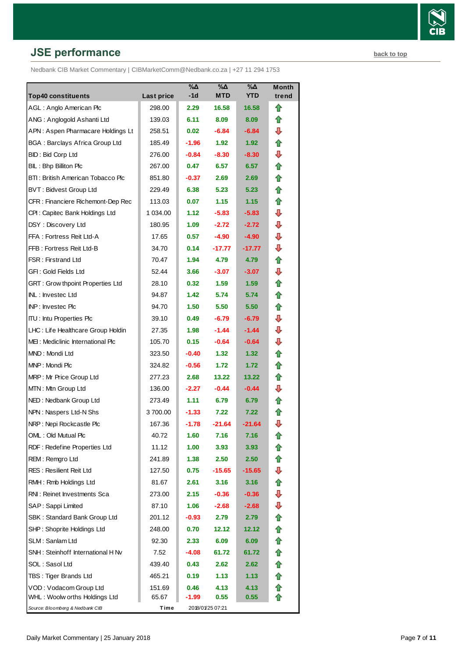# **JSE performance [back to top](#page-0-0) back to top**

Nedbank CIB Market Commentary | CIBMarketComm@Nedbank.co.za | +27 11 294 1753

| <b>Top40 constituents</b>               | <b>Last price</b> | $\%$ $\Delta$<br>$-1d$ | $\overline{\%}\Delta$<br>MTD | %Δ<br><b>YTD</b>  | <b>Month</b><br>trend |
|-----------------------------------------|-------------------|------------------------|------------------------------|-------------------|-----------------------|
| AGL: Anglo American Plc                 | 298.00            | 2.29                   | 16.58                        | 16.58             | ⇑                     |
| ANG: Anglogold Ashanti Ltd              | 139.03            | 6.11                   | 8.09                         | 8.09              | ⇑                     |
| APN: Aspen Pharmacare Holdings Lt       | 258.51            | 0.02 <sub>1</sub>      | $-6.84$                      | $-6.84$           | ⇩                     |
| <b>BGA: Barclays Africa Group Ltd</b>   | 185.49            | $-1.96$                | 1.92                         | 1.92 <sub>1</sub> | ⇮                     |
| BID: Bid Corp Ltd                       | 276.00            | $-0.84$                | $-8.30$                      | $-8.30$           | ⇩                     |
| BIL: Bhp Billiton Plc                   | 267.00            | 0.47                   | 6.57                         | 6.57              | ⇑                     |
| BTI: British American Tobacco Plc       | 851.80            | $-0.37$                | 2.69                         | 2.69              | ⇑                     |
| <b>BVT: Bidvest Group Ltd</b>           | 229.49            | 6.38                   | 5.23                         | 5.23              | ✿                     |
| CFR : Financiere Richemont-Dep Rec      | 113.03            | 0.07                   | 1.15                         | 1.15              | ⇮                     |
| CPI: Capitec Bank Holdings Ltd          | 1 034.00          | 1.12                   | $-5.83$                      | $-5.83$           | ⇩                     |
| DSY: Discovery Ltd                      | 180.95            | 1.09                   | $-2.72$                      | $-2.72$           | ⊕                     |
| FFA: Fortress Reit Ltd-A                | 17.65             | 0.57                   | $-4.90$                      | $-4.90$           | ⇩                     |
| FFB: Fortress Reit Ltd-B                | 34.70             | 0.14                   | $-17.77$                     | $-17.77$          | ⇩                     |
| <b>FSR: Firstrand Ltd</b>               | 70.47             | 1.94                   | 4.79                         | 4.79              | ⇮                     |
| GFI: Gold Fields Ltd                    | 52.44             | 3.66                   | $-3.07$                      | $-3.07$           | ⇩                     |
| <b>GRT: Grow thpoint Properties Ltd</b> | 28.10             | 0.32                   | 1.59                         | 1.59              | ✿                     |
| INL: Investec Ltd                       | 94.87             | 1.42                   | 5.74                         | 5.74              | ⇑                     |
| <b>INP: Investec Plc</b>                | 94.70             | 1.50                   | 5.50                         | 5.50              | ⇑                     |
| <b>ITU: Intu Properties Plc</b>         | 39.10             | 0.49                   | $-6.79$                      | $-6.79$           | ⇩                     |
| LHC: Life Healthcare Group Holdin       | 27.35             | 1.98                   | $-1.44$                      | $-1.44$           | ⇩                     |
| MEI: Mediclinic International Plc       | 105.70            | 0.15                   | $-0.64$                      | $-0.64$           | ⇩                     |
| MND: Mondi Ltd                          | 323.50            | $-0.40$                | 1.32 <sub>1</sub>            | 1.32              | ⇑                     |
| MNP: Mondi Plc                          | 324.82            | $-0.56$                | 1.72                         | 1.72              | ⇑                     |
| MRP: Mr Price Group Ltd                 | 277.23            | 2.68                   | 13.22                        | 13.22             | ✿                     |
| MTN: Mtn Group Ltd                      | 136.00            | $-2.27$                | $-0.44$                      | $-0.44$           | ⇩                     |
| NED: Nedbank Group Ltd                  | 273.49            | 1.11                   | 6.79                         | 6.79              | ⇑                     |
| NPN: Naspers Ltd-N Shs                  | 3700.00           | $-1.33$                | 7.22                         | 7.22              | ⇑                     |
| NRP: Nepi Rockcastle Plc                | 167.36            | $-1.78$                | $-21.64$                     | $-21.64$          | ⇩                     |
| OML: Old Mutual Plc                     | 40.72             | 1.60                   | 7.16                         | 7.16              | t                     |
| RDF: Redefine Properties Ltd            | 11.12             | 1.00                   | 3.93                         | 3.93              |                       |
| REM: Remgro Ltd                         | 241.89            | 1.38                   | 2.50                         | 2.50              | ⇑                     |
| <b>RES: Resilient Reit Ltd</b>          | 127.50            | 0.75                   | $-15.65$                     | $-15.65$          | ⇩                     |
| RMH: Rmb Holdings Ltd                   | 81.67             | 2.61                   | 3.16                         | 3.16              | t                     |
| RNI: Reinet Investments Sca             | 273.00            | 2.15                   | $-0.36$                      | $-0.36$           | ⇩                     |
| SAP: Sappi Limited                      | 87.10             | 1.06                   | $-2.68$                      | $-2.68$           | ⇩                     |
| SBK: Standard Bank Group Ltd            | 201.12            | $-0.93$                | 2.79                         | 2.79              | ⇑                     |
| SHP: Shoprite Holdings Ltd              | 248.00            | 0.70                   | 12.12                        | 12.12             | ⇑                     |
| SLM: Sanlam Ltd                         | 92.30             | 2.33                   | 6.09                         | 6.09              | ✿                     |
| SNH: Steinhoff International H Nv       | 7.52              | -4.08                  | 61.72                        | 61.72             | ⇑                     |
| SOL: Sasol Ltd                          | 439.40            | 0.43                   | 2.62                         | 2.62              | ⇑                     |
| TBS: Tiger Brands Ltd                   | 465.21            | 0.19                   | 1.13                         | 1.13              | €                     |
| VOD: Vodacom Group Ltd                  | 151.69            | 0.46                   | 4.13                         | 4.13              | ⇑                     |
| WHL: Woolw orths Holdings Ltd           | 65.67             | $-1.99$                | 0.55                         | 0.55              | ⇑                     |
| Source: Bloomberg & Nedbank CIB         | Time              |                        | 2018/01/25 07:21             |                   |                       |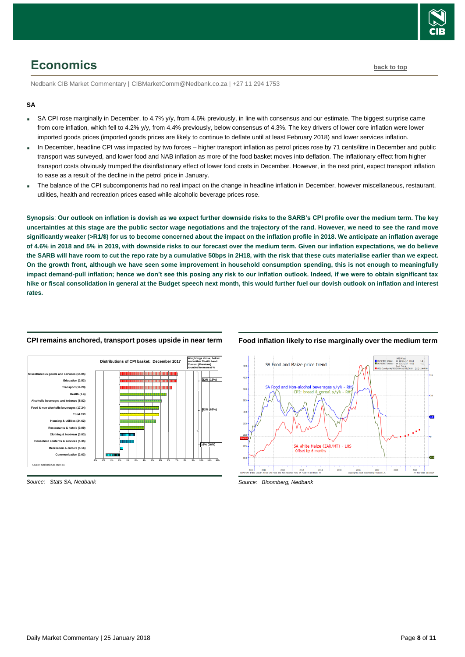

# <span id="page-7-0"></span>**Economics [back to top](#page-0-0)**

Nedbank CIB Market Commentary | CIBMarketComm@Nedbank.co.za | +27 11 294 1753

#### **SA**

- SA CPI rose marginally in December, to 4.7% y/y, from 4.6% previously, in line with consensus and our estimate. The biggest surprise came from core inflation, which fell to 4.2% y/y, from 4.4% previously, below consensus of 4.3%. The key drivers of lower core inflation were lower imported goods prices (imported goods prices are likely to continue to deflate until at least February 2018) and lower services inflation.
- In December, headline CPI was impacted by two forces higher transport inflation as petrol prices rose by 71 cents/litre in December and public transport was surveyed, and lower food and NAB inflation as more of the food basket moves into deflation. The inflationary effect from higher transport costs obviously trumped the disinflationary effect of lower food costs in December. However, in the next print, expect transport inflation to ease as a result of the decline in the petrol price in January.
- The balance of the CPI subcomponents had no real impact on the change in headline inflation in December, however miscellaneous, restaurant, utilities, health and recreation prices eased while alcoholic beverage prices rose.

**Synopsis**: **Our outlook on inflation is dovish as we expect further downside risks to the SARB's CPI profile over the medium term. The key uncertainties at this stage are the public sector wage negotiations and the trajectory of the rand. However, we need to see the rand move significantly weaker (>R1/\$) for us to become concerned about the impact on the inflation profile in 2018. We anticipate an inflation average of 4.6% in 2018 and 5% in 2019, with downside risks to our forecast over the medium term. Given our inflation expectations, we do believe the SARB will have room to cut the repo rate by a cumulative 50bps in 2H18, with the risk that these cuts materialise earlier than we expect. On the growth front, although we have seen some improvement in household consumption spending, this is not enough to meaningfully impact demand-pull inflation; hence we don't see this posing any risk to our inflation outlook. Indeed, if we were to obtain significant tax hike or fiscal consolidation in general at the Budget speech next month, this would further fuel our dovish outlook on inflation and interest rates.**



#### **CPI remains anchored, transport poses upside in near term**

#### Mid Price<br>
SCP8FNAY Index - on 12/31/17 (R1) 4.8<br>
SCP8BRCY Index - on 12/31/17 (R1) -5.0 SA Food and Maize price trend  $u21c$ 18 (L1) 1860 and Non-alcohol beverages  $V/v<sup>2</sup>$ **DE** CPI: bread SA White Maize (ZAR/MT) - LHS  $2011$   $2012$   $2013$   $2014$ 2015  $2016$  $\frac{2017}{1000}$ 2018  $2019$

**Food inflation likely to rise marginally over the medium term**

*Source: Bloomberg, Nedbank*

*Source: Stats SA, Nedbank*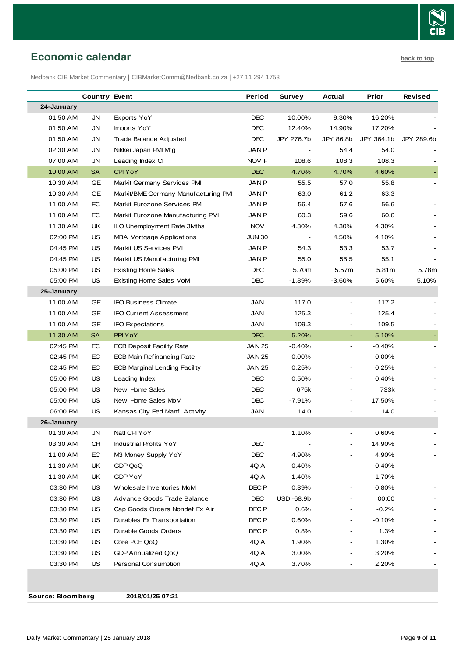

## <span id="page-8-0"></span>**Economic calendar [back to top](#page-0-0)**

Nedbank CIB Market Commentary | CIBMarketComm@Nedbank.co.za | +27 11 294 1753

|            | <b>Country Event</b> |                                      | Period           | Survey                   | Actual                   | Prior      | <b>Revised</b> |
|------------|----------------------|--------------------------------------|------------------|--------------------------|--------------------------|------------|----------------|
| 24-January |                      |                                      |                  |                          |                          |            |                |
| 01:50 AM   | JN                   | Exports YoY                          | <b>DEC</b>       | 10.00%                   | 9.30%                    | 16.20%     |                |
| 01:50 AM   | JN                   | Imports YoY                          | DEC              | 12.40%                   | 14.90%                   | 17.20%     |                |
| 01:50 AM   | JN                   | Trade Balance Adjusted               | <b>DEC</b>       | JPY 276.7b               | JPY 86.8b                | JPY 364.1b | JPY 289.6b     |
| 02:30 AM   | <b>JN</b>            | Nikkei Japan PMI Mfg                 | <b>JANP</b>      |                          | 54.4                     | 54.0       |                |
| 07:00 AM   | JN                   | Leading Index CI                     | NOV F            | 108.6                    | 108.3                    | 108.3      |                |
| 10:00 AM   | <b>SA</b>            | CPI YoY                              | <b>DEC</b>       | 4.70%                    | 4.70%                    | 4.60%      |                |
| 10:30 AM   | <b>GE</b>            | Markit Germany Services PMI          | <b>JANP</b>      | 55.5                     | 57.0                     | 55.8       |                |
| 10:30 AM   | GE                   | Markit/BME Germany Manufacturing PMI | JAN P            | 63.0                     | 61.2                     | 63.3       |                |
| 11:00 AM   | EC                   | Markit Eurozone Services PMI         | JAN P            | 56.4                     | 57.6                     | 56.6       |                |
| 11:00 AM   | EC                   | Markit Eurozone Manufacturing PMI    | <b>JANP</b>      | 60.3                     | 59.6                     | 60.6       |                |
| 11:30 AM   | UK                   | <b>ILO Unemployment Rate 3Mths</b>   | <b>NOV</b>       | 4.30%                    | 4.30%                    | 4.30%      |                |
| 02:00 PM   | US                   | <b>MBA Mortgage Applications</b>     | JUN 30           | $\overline{\phantom{a}}$ | 4.50%                    | 4.10%      |                |
| 04:45 PM   | US                   | Markit US Services PMI               | JAN P            | 54.3                     | 53.3                     | 53.7       |                |
| 04:45 PM   | US                   | Markit US Manufacturing PMI          | JAN P            | 55.0                     | 55.5                     | 55.1       |                |
| 05:00 PM   | US                   | <b>Existing Home Sales</b>           | <b>DEC</b>       | 5.70m                    | 5.57m                    | 5.81m      | 5.78m          |
| 05:00 PM   | US                   | Existing Home Sales MoM              | <b>DEC</b>       | $-1.89%$                 | $-3.60%$                 | 5.60%      | 5.10%          |
| 25-January |                      |                                      |                  |                          |                          |            |                |
| 11:00 AM   | GE                   | <b>IFO Business Climate</b>          | JAN              | 117.0                    |                          | 117.2      |                |
| 11:00 AM   | GE                   | <b>IFO Current Assessment</b>        | <b>JAN</b>       | 125.3                    |                          | 125.4      |                |
| 11:00 AM   | GE                   | <b>IFO Expectations</b>              | JAN              | 109.3                    |                          | 109.5      |                |
| 11:30 AM   | <b>SA</b>            | PPI YoY                              | <b>DEC</b>       | 5.20%                    | $\blacksquare$           | 5.10%      |                |
| 02:45 PM   | EC                   | <b>ECB Deposit Facility Rate</b>     | JAN 25           | $-0.40%$                 | $\overline{\phantom{a}}$ | $-0.40%$   |                |
| 02:45 PM   | EC                   | <b>ECB Main Refinancing Rate</b>     | JAN 25           | 0.00%                    |                          | 0.00%      |                |
| 02:45 PM   | EC                   | <b>ECB Marginal Lending Facility</b> | JAN 25           | 0.25%                    | $\overline{\phantom{a}}$ | 0.25%      |                |
| 05:00 PM   | US                   | Leading Index                        | <b>DEC</b>       | 0.50%                    | $\overline{\phantom{a}}$ | 0.40%      |                |
| 05:00 PM   | US                   | New Home Sales                       | DEC              | 675k                     |                          | 733k       |                |
| 05:00 PM   | <b>US</b>            | New Home Sales MoM                   | <b>DEC</b>       | $-7.91%$                 |                          | 17.50%     |                |
| 06:00 PM   | US                   | Kansas City Fed Manf. Activity       | JAN              | 14.0                     |                          | 14.0       |                |
| 26-January |                      |                                      |                  |                          |                          |            |                |
| 01:30 AM   | JN                   | Natl CPI YoY                         |                  | 1.10%                    |                          | 0.60%      |                |
| 03:30 AM   | CН                   | <b>Industrial Profits YoY</b>        | DEC              |                          |                          | 14.90%     |                |
| 11:00 AM   | EC                   | M3 Money Supply YoY                  | DEC              | 4.90%                    |                          | 4.90%      |                |
| 11:30 AM   | UK                   | GDP QoQ                              | 4Q A             | 0.40%                    |                          | 0.40%      |                |
| 11:30 AM   | UK                   | GDP YoY                              | 4Q A             | 1.40%                    |                          | 1.70%      |                |
| 03:30 PM   | US                   | Wholesale Inventories MoM            | DEC P            | 0.39%                    |                          | 0.80%      |                |
| 03:30 PM   | US                   | Advance Goods Trade Balance          | <b>DEC</b>       | <b>USD-68.9b</b>         |                          | 00:00      |                |
| 03:30 PM   | US                   | Cap Goods Orders Nondef Ex Air       | DEC <sub>P</sub> | 0.6%                     |                          | $-0.2%$    |                |
| 03:30 PM   | US                   | Durables Ex Transportation           | DEC P            | 0.60%                    |                          | $-0.10%$   |                |
| 03:30 PM   | US                   | Durable Goods Orders                 | DEC P            | 0.8%                     |                          | 1.3%       |                |
| 03:30 PM   | US                   | Core PCE QoQ                         | 4Q A             | 1.90%                    |                          | 1.30%      |                |
| 03:30 PM   | US                   | GDP Annualized QoQ                   | 4Q A             | 3.00%                    |                          | 3.20%      |                |
| 03:30 PM   | <b>US</b>            | Personal Consumption                 | 4Q A             | 3.70%                    |                          | 2.20%      |                |
|            |                      |                                      |                  |                          |                          |            |                |

**Source: Bloomberg 2018/01/25 07:21**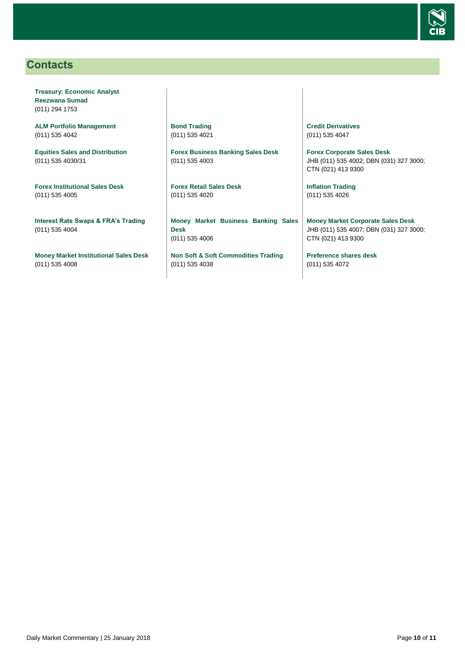

## <span id="page-9-0"></span>**Contacts**

**Treasury: Economic Analyst Reezwana Sumad** (011) 294 1753

**ALM Portfolio Management** (011) 535 4042

**Equities Sales and Distribution** (011) 535 4030/31

**Forex Institutional Sales Desk** (011) 535 4005

**Interest Rate Swaps & FRA's Trading** (011) 535 4004

**Money Market Institutional Sales Desk** (011) 535 4008

**Bond Trading** (011) 535 4021

**Forex Business Banking Sales Desk** (011) 535 4003

**Forex Retail Sales Desk** (011) 535 4020

**Money Market Business Banking Sales Desk** (011) 535 4006

**Non Soft & Soft Commodities Trading** (011) 535 4038

**Credit Derivatives**  (011) 535 4047

**Forex Corporate Sales Desk** JHB (011) 535 4002; DBN (031) 327 3000; CTN (021) 413 9300

**Inflation Trading** (011) 535 4026

**Money Market Corporate Sales Desk** JHB (011) 535 4007; DBN (031) 327 3000; CTN (021) 413 9300

**Preference shares desk** (011) 535 4072